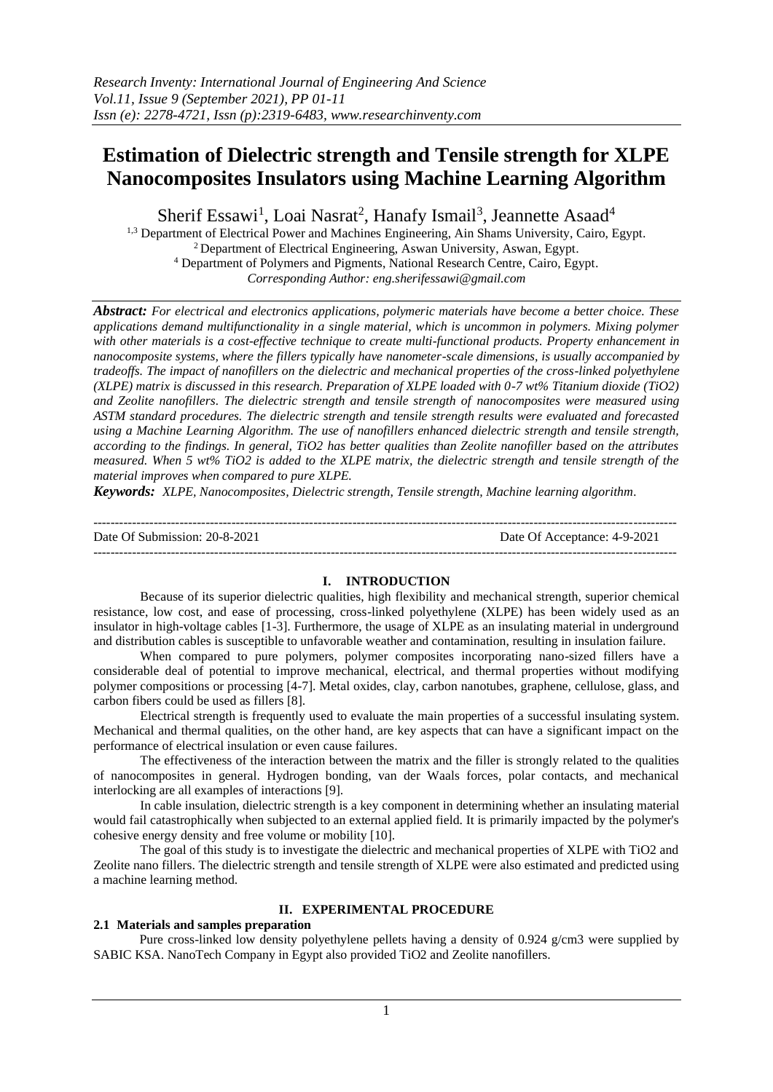# **Estimation of Dielectric strength and Tensile strength for XLPE Nanocomposites Insulators using Machine Learning Algorithm**

Sherif Essawi<sup>1</sup>, Loai Nasrat<sup>2</sup>, Hanafy Ismail<sup>3</sup>, Jeannette Asaad<sup>4</sup>

<sup>1,3</sup> Department of Electrical Power and Machines Engineering, Ain Shams University, Cairo, Egypt. <sup>2</sup> Department of Electrical Engineering, Aswan University, Aswan, Egypt. <sup>4</sup> Department of Polymers and Pigments, National Research Centre, Cairo, Egypt. *Corresponding Author: eng.sherifessawi@gmail.com*

*Abstract: For electrical and electronics applications, polymeric materials have become a better choice. These applications demand multifunctionality in a single material, which is uncommon in polymers. Mixing polymer with other materials is a cost-effective technique to create multi-functional products. Property enhancement in nanocomposite systems, where the fillers typically have nanometer-scale dimensions, is usually accompanied by tradeoffs. The impact of nanofillers on the dielectric and mechanical properties of the cross-linked polyethylene (XLPE) matrix is discussed in this research. Preparation of XLPE loaded with 0-7 wt% Titanium dioxide (TiO2) and Zeolite nanofillers. The dielectric strength and tensile strength of nanocomposites were measured using ASTM standard procedures. The dielectric strength and tensile strength results were evaluated and forecasted using a Machine Learning Algorithm. The use of nanofillers enhanced dielectric strength and tensile strength, according to the findings. In general, TiO2 has better qualities than Zeolite nanofiller based on the attributes measured. When 5 wt% TiO2 is added to the XLPE matrix, the dielectric strength and tensile strength of the material improves when compared to pure XLPE.*

*Keywords: XLPE, Nanocomposites, Dielectric strength, Tensile strength, Machine learning algorithm.*

| Date Of Submission: 20-8-2021 | Date Of Acceptance: 4-9-2021 |
|-------------------------------|------------------------------|
|                               |                              |

## **I. INTRODUCTION**

Because of its superior dielectric qualities, high flexibility and mechanical strength, superior chemical resistance, low cost, and ease of processing, cross-linked polyethylene (XLPE) has been widely used as an insulator in high-voltage cables [1-3]. Furthermore, the usage of XLPE as an insulating material in underground and distribution cables is susceptible to unfavorable weather and contamination, resulting in insulation failure.

When compared to pure polymers, polymer composites incorporating nano-sized fillers have a considerable deal of potential to improve mechanical, electrical, and thermal properties without modifying polymer compositions or processing [4-7]. Metal oxides, clay, carbon nanotubes, graphene, cellulose, glass, and carbon fibers could be used as fillers [8].

Electrical strength is frequently used to evaluate the main properties of a successful insulating system. Mechanical and thermal qualities, on the other hand, are key aspects that can have a significant impact on the performance of electrical insulation or even cause failures.

The effectiveness of the interaction between the matrix and the filler is strongly related to the qualities of nanocomposites in general. Hydrogen bonding, van der Waals forces, polar contacts, and mechanical interlocking are all examples of interactions [9].

In cable insulation, dielectric strength is a key component in determining whether an insulating material would fail catastrophically when subjected to an external applied field. It is primarily impacted by the polymer's cohesive energy density and free volume or mobility [10].

The goal of this study is to investigate the dielectric and mechanical properties of XLPE with TiO2 and Zeolite nano fillers. The dielectric strength and tensile strength of XLPE were also estimated and predicted using a machine learning method.

# **II. EXPERIMENTAL PROCEDURE**

# **2.1 Materials and samples preparation**

Pure cross-linked low density polyethylene pellets having a density of 0.924 g/cm3 were supplied by SABIC KSA. NanoTech Company in Egypt also provided TiO2 and Zeolite nanofillers.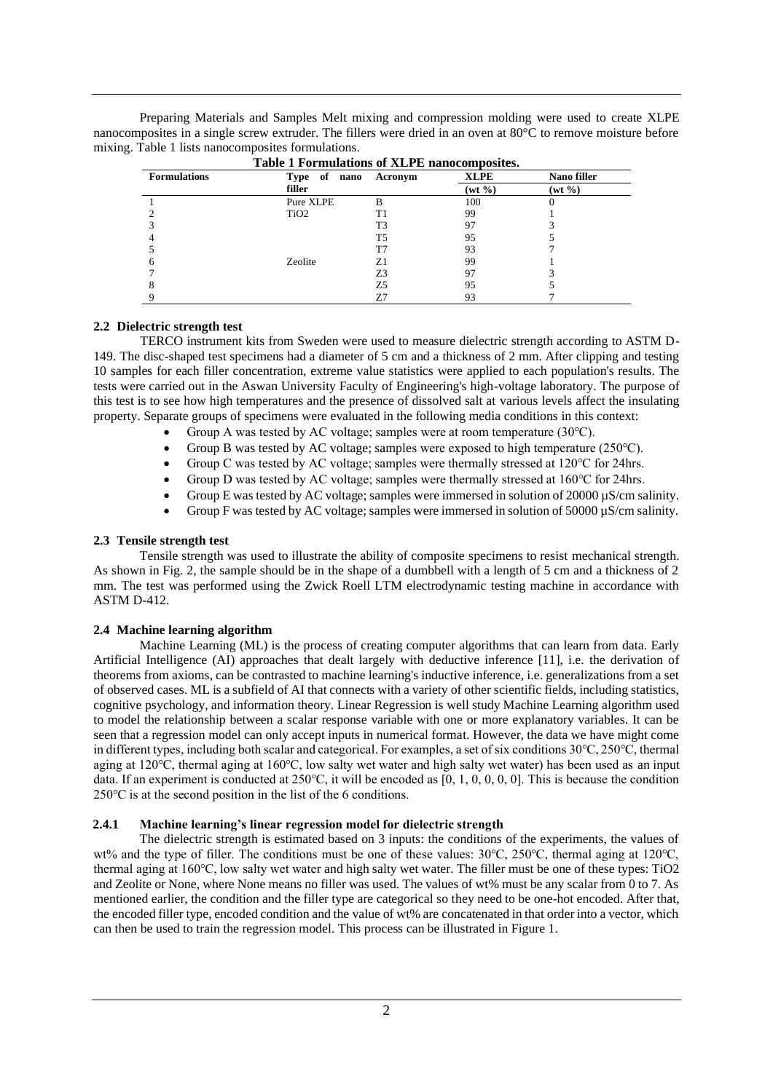Preparing Materials and Samples Melt mixing and compression molding were used to create XLPE nanocomposites in a single screw extruder. The fillers were dried in an oven at 80°C to remove moisture before mixing. Table 1 lists nanocomposites formulations.

| <b>Formulations</b> | Type of<br>nano  | Acronym        | <b>XLPE</b>  | Nano filler  |
|---------------------|------------------|----------------|--------------|--------------|
|                     | filler           |                | $(wt \, \%)$ | $(wt \, \%)$ |
|                     | Pure XLPE        | в              | 100          | U            |
|                     | TiO <sub>2</sub> | T1             | 99           |              |
|                     |                  | T <sub>3</sub> | 97           |              |
|                     |                  | T5             | 95           |              |
|                     |                  | T7             | 93           |              |
|                     | Zeolite          | Z1             | 99           |              |
|                     |                  | Z3             | 97           |              |
|                     |                  | Z5             | 95           |              |
|                     |                  | Ζ7             | 93           |              |

|  | Table 1 Formulations of XLPE nanocomposites. |  |  |
|--|----------------------------------------------|--|--|

# **2.2 Dielectric strength test**

TERCO instrument kits from Sweden were used to measure dielectric strength according to ASTM D-149. The disc-shaped test specimens had a diameter of 5 cm and a thickness of 2 mm. After clipping and testing 10 samples for each filler concentration, extreme value statistics were applied to each population's results. The tests were carried out in the Aswan University Faculty of Engineering's high-voltage laboratory. The purpose of this test is to see how high temperatures and the presence of dissolved salt at various levels affect the insulating property. Separate groups of specimens were evaluated in the following media conditions in this context:

- Group A was tested by AC voltage; samples were at room temperature (30℃).
- Group B was tested by AC voltage; samples were exposed to high temperature (250℃).
- Group C was tested by AC voltage; samples were thermally stressed at 120℃ for 24hrs.
- Group D was tested by AC voltage; samples were thermally stressed at 160℃ for 24hrs.
- Group E was tested by AC voltage; samples were immersed in solution of 20000  $\mu$ S/cm salinity.
- Group F was tested by AC voltage; samples were immersed in solution of  $50000 \mu S/cm$  salinity.

### **2.3 Tensile strength test**

Tensile strength was used to illustrate the ability of composite specimens to resist mechanical strength. As shown in Fig. 2, the sample should be in the shape of a dumbbell with a length of 5 cm and a thickness of 2 mm. The test was performed using the Zwick Roell LTM electrodynamic testing machine in accordance with ASTM D-412.

## **2.4 Machine learning algorithm**

Machine Learning (ML) is the process of creating computer algorithms that can learn from data. Early Artificial Intelligence (AI) approaches that dealt largely with deductive inference [11], i.e. the derivation of theorems from axioms, can be contrasted to machine learning's inductive inference, i.e. generalizations from a set of observed cases. ML is a subfield of AI that connects with a variety of other scientific fields, including statistics, cognitive psychology, and information theory. Linear Regression is well study Machine Learning algorithm used to model the relationship between a scalar response variable with one or more explanatory variables. It can be seen that a regression model can only accept inputs in numerical format. However, the data we have might come in different types, including both scalar and categorical. For examples, a set of six conditions 30℃, 250℃, thermal aging at 120℃, thermal aging at 160℃, low salty wet water and high salty wet water) has been used as an input data. If an experiment is conducted at 250℃, it will be encoded as [0, 1, 0, 0, 0, 0]. This is because the condition 250℃ is at the second position in the list of the 6 conditions.

#### **2.4.1 Machine learning's linear regression model for dielectric strength**

The dielectric strength is estimated based on 3 inputs: the conditions of the experiments, the values of wt% and the type of filler. The conditions must be one of these values: 30℃, 250℃, thermal aging at 120℃, thermal aging at 160℃, low salty wet water and high salty wet water. The filler must be one of these types: TiO2 and Zeolite or None, where None means no filler was used. The values of wt% must be any scalar from 0 to 7. As mentioned earlier, the condition and the filler type are categorical so they need to be one-hot encoded. After that, the encoded filler type, encoded condition and the value of wt% are concatenated in that order into a vector, which can then be used to train the regression model. This process can be illustrated in Figure 1.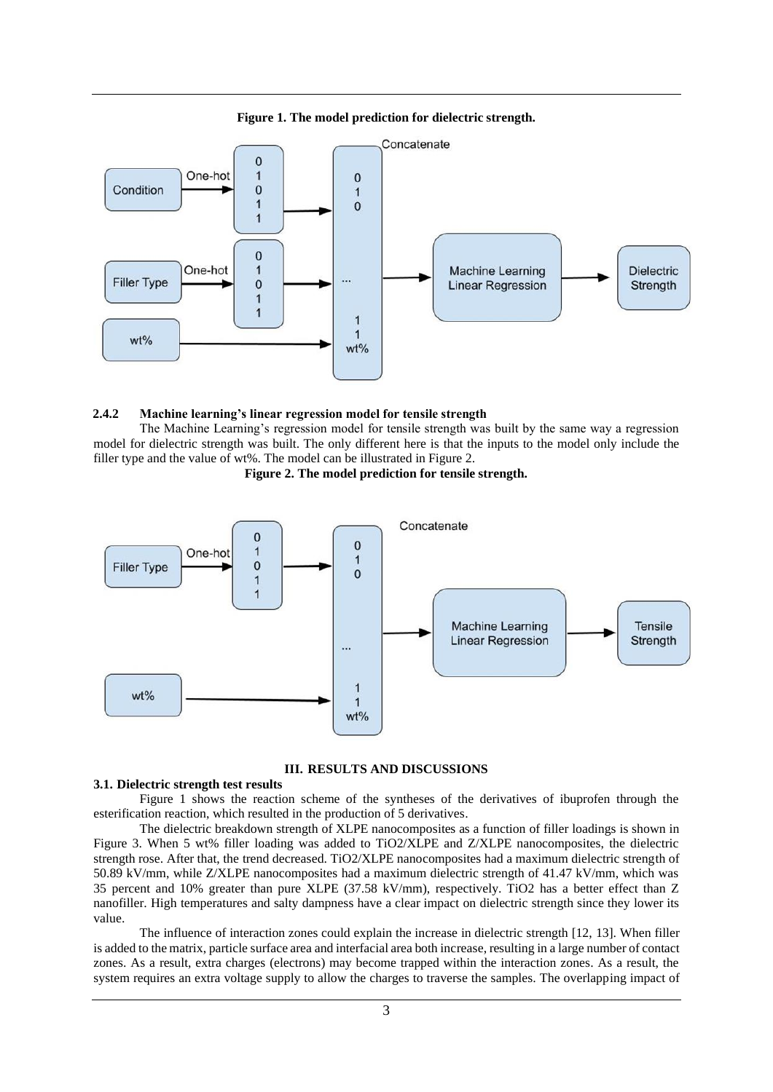



#### **2.4.2 Machine learning's linear regression model for tensile strength**

The Machine Learning's regression model for tensile strength was built by the same way a regression model for dielectric strength was built. The only different here is that the inputs to the model only include the filler type and the value of wt%. The model can be illustrated in Figure 2.





#### **III. RESULTS AND DISCUSSIONS**

#### **3.1. Dielectric strength test results**

Figure 1 shows the reaction scheme of the syntheses of the derivatives of ibuprofen through the esterification reaction, which resulted in the production of 5 derivatives.

The dielectric breakdown strength of XLPE nanocomposites as a function of filler loadings is shown in Figure 3. When 5 wt% filler loading was added to TiO2/XLPE and Z/XLPE nanocomposites, the dielectric strength rose. After that, the trend decreased. TiO2/XLPE nanocomposites had a maximum dielectric strength of 50.89 kV/mm, while Z/XLPE nanocomposites had a maximum dielectric strength of 41.47 kV/mm, which was 35 percent and 10% greater than pure XLPE (37.58 kV/mm), respectively. TiO2 has a better effect than Z nanofiller. High temperatures and salty dampness have a clear impact on dielectric strength since they lower its value.

The influence of interaction zones could explain the increase in dielectric strength [12, 13]. When filler is added to the matrix, particle surface area and interfacial area both increase, resulting in a large number of contact zones. As a result, extra charges (electrons) may become trapped within the interaction zones. As a result, the system requires an extra voltage supply to allow the charges to traverse the samples. The overlapping impact of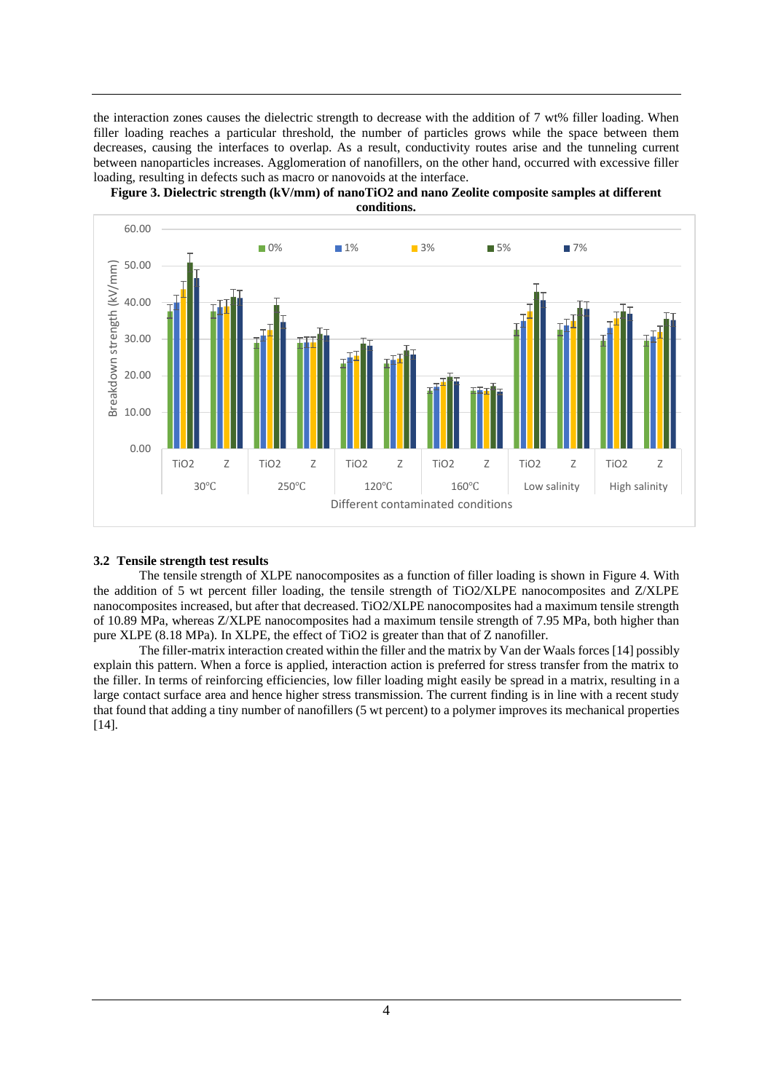the interaction zones causes the dielectric strength to decrease with the addition of 7 wt% filler loading. When filler loading reaches a particular threshold, the number of particles grows while the space between them decreases, causing the interfaces to overlap. As a result, conductivity routes arise and the tunneling current between nanoparticles increases. Agglomeration of nanofillers, on the other hand, occurred with excessive filler loading, resulting in defects such as macro or nanovoids at the interface.





**conditions.**

## **3.2 Tensile strength test results**

The tensile strength of XLPE nanocomposites as a function of filler loading is shown in Figure 4. With the addition of 5 wt percent filler loading, the tensile strength of TiO2/XLPE nanocomposites and Z/XLPE nanocomposites increased, but after that decreased. TiO2/XLPE nanocomposites had a maximum tensile strength of 10.89 MPa, whereas Z/XLPE nanocomposites had a maximum tensile strength of 7.95 MPa, both higher than pure XLPE (8.18 MPa). In XLPE, the effect of TiO2 is greater than that of Z nanofiller.

The filler-matrix interaction created within the filler and the matrix by Van der Waals forces [14] possibly explain this pattern. When a force is applied, interaction action is preferred for stress transfer from the matrix to the filler. In terms of reinforcing efficiencies, low filler loading might easily be spread in a matrix, resulting in a large contact surface area and hence higher stress transmission. The current finding is in line with a recent study that found that adding a tiny number of nanofillers (5 wt percent) to a polymer improves its mechanical properties [14].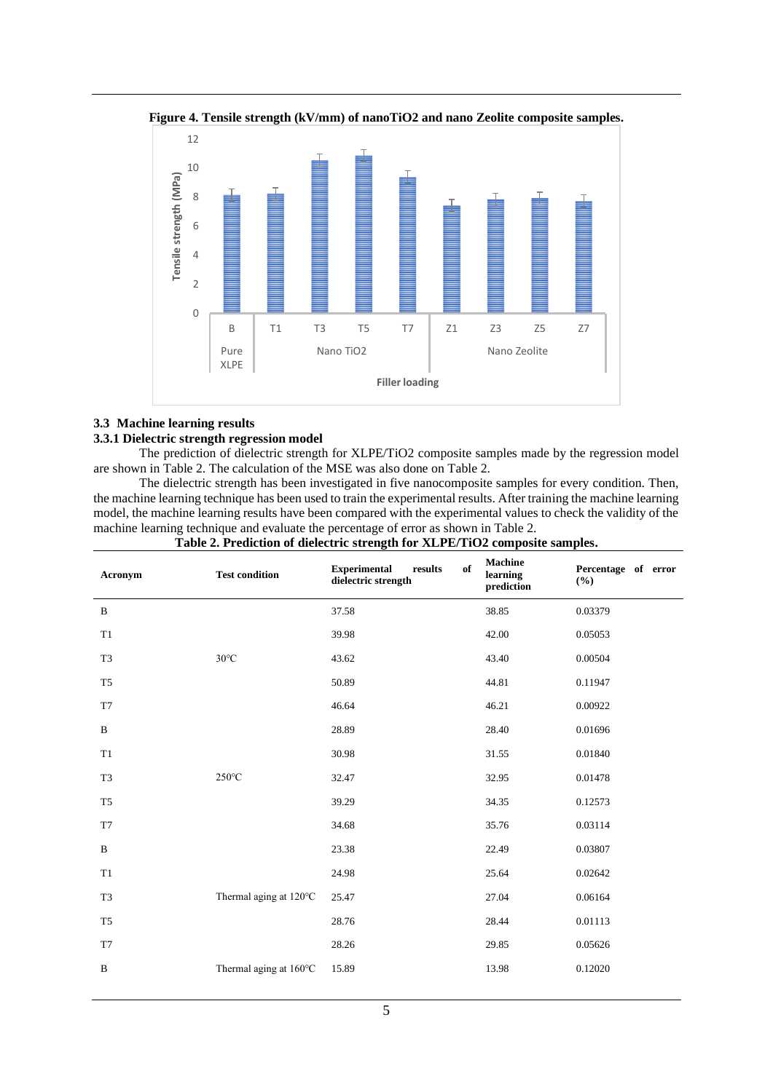

**Figure 4. Tensile strength (kV/mm) of nanoTiO2 and nano Zeolite composite samples.**

# **3.3 Machine learning results**

# **3.3.1 Dielectric strength regression model**

The prediction of dielectric strength for XLPE/TiO2 composite samples made by the regression model are shown in Table 2. The calculation of the MSE was also done on Table 2.

The dielectric strength has been investigated in five nanocomposite samples for every condition. Then, the machine learning technique has been used to train the experimental results. After training the machine learning model, the machine learning results have been compared with the experimental values to check the validity of the machine learning technique and evaluate the percentage of error as shown in Table 2.

| Acronym        | <b>Test condition</b>  | of<br><b>Experimental</b><br>results<br>dielectric strength | <b>Machine</b><br>learning<br>prediction | Percentage of error<br>$(\%)$ |
|----------------|------------------------|-------------------------------------------------------------|------------------------------------------|-------------------------------|
| $\, {\bf B}$   |                        | 37.58                                                       | 38.85                                    | 0.03379                       |
| T1             |                        | 39.98                                                       | 42.00                                    | 0.05053                       |
| T <sub>3</sub> | $30^{\circ}$ C         | 43.62                                                       | 43.40                                    | 0.00504                       |
| T <sub>5</sub> |                        | 50.89                                                       | 44.81                                    | 0.11947                       |
| T7             |                        | 46.64                                                       | 46.21                                    | 0.00922                       |
| $\, {\bf B}$   |                        | 28.89                                                       | 28.40                                    | 0.01696                       |
| T1             |                        | 30.98                                                       | 31.55                                    | 0.01840                       |
| T <sub>3</sub> | $250^{\circ}$ C        | 32.47                                                       | 32.95                                    | 0.01478                       |
| T <sub>5</sub> |                        | 39.29                                                       | 34.35                                    | 0.12573                       |
| T7             |                        | 34.68                                                       | 35.76                                    | 0.03114                       |
| $\, {\bf B}$   |                        | 23.38                                                       | 22.49                                    | 0.03807                       |
| T1             |                        | 24.98                                                       | 25.64                                    | 0.02642                       |
| T <sub>3</sub> | Thermal aging at 120°C | 25.47                                                       | 27.04                                    | 0.06164                       |
| T <sub>5</sub> |                        | 28.76                                                       | 28.44                                    | 0.01113                       |
| T7             |                        | 28.26                                                       | 29.85                                    | 0.05626                       |
| $\, {\bf B}$   | Thermal aging at 160°C | 15.89                                                       | 13.98                                    | 0.12020                       |
|                |                        |                                                             |                                          |                               |

### **Table 2. Prediction of dielectric strength for XLPE/TiO2 composite samples.**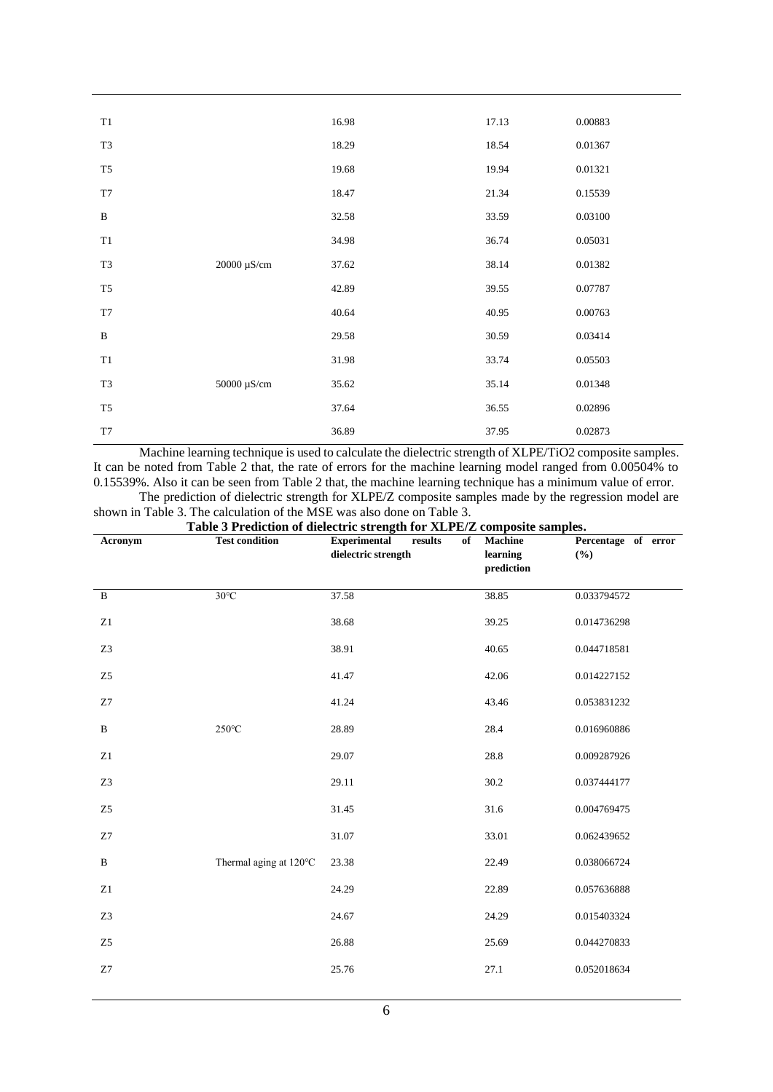| T1             |             | 16.98 | 17.13 | 0.00883 |
|----------------|-------------|-------|-------|---------|
| T <sub>3</sub> |             | 18.29 | 18.54 | 0.01367 |
| T <sub>5</sub> |             | 19.68 | 19.94 | 0.01321 |
| T7             |             | 18.47 | 21.34 | 0.15539 |
| $\, {\bf B}$   |             | 32.58 | 33.59 | 0.03100 |
| T1             |             | 34.98 | 36.74 | 0.05031 |
| T <sub>3</sub> | 20000 μS/cm | 37.62 | 38.14 | 0.01382 |
| T <sub>5</sub> |             | 42.89 | 39.55 | 0.07787 |
| T7             |             | 40.64 | 40.95 | 0.00763 |
| $\, {\bf B}$   |             | 29.58 | 30.59 | 0.03414 |
| $\mathrm{T}1$  |             | 31.98 | 33.74 | 0.05503 |
| T <sub>3</sub> | 50000 μS/cm | 35.62 | 35.14 | 0.01348 |
| T <sub>5</sub> |             | 37.64 | 36.55 | 0.02896 |
| T7             |             | 36.89 | 37.95 | 0.02873 |

Machine learning technique is used to calculate the dielectric strength of XLPE/TiO2 composite samples. It can be noted from Table 2 that, the rate of errors for the machine learning model ranged from 0.00504% to 0.15539%. Also it can be seen from Table 2 that, the machine learning technique has a minimum value of error. The prediction of dielectric strength for XLPE/Z composite samples made by the regression model are

| shown in Table 3. The calculation of the MSE was also done on Table 3. |                                                                         |  |  |  |
|------------------------------------------------------------------------|-------------------------------------------------------------------------|--|--|--|
|                                                                        |                                                                         |  |  |  |
|                                                                        | Toble 3 Drediction of dielectric strength for VI DF/7 composite samples |  |  |  |
|                                                                        |                                                                         |  |  |  |

| Table 3 Prediction of dielectric strength for XLPE/Z composite samples. |                        |                                                             |                                          |                            |
|-------------------------------------------------------------------------|------------------------|-------------------------------------------------------------|------------------------------------------|----------------------------|
| Acronym                                                                 | <b>Test condition</b>  | <b>Experimental</b><br>results<br>of<br>dielectric strength | <b>Machine</b><br>learning<br>prediction | Percentage of error<br>(%) |
| $\mathbf B$                                                             | $30^{\circ}$ C         | 37.58                                                       | 38.85                                    | 0.033794572                |
| Z1                                                                      |                        | 38.68                                                       | 39.25                                    | 0.014736298                |
| Z3                                                                      |                        | 38.91                                                       | 40.65                                    | 0.044718581                |
| Z <sub>5</sub>                                                          |                        | 41.47                                                       | 42.06                                    | 0.014227152                |
| Z7                                                                      |                        | 41.24                                                       | 43.46                                    | 0.053831232                |
| $\, {\bf B}$                                                            | $250^{\circ}$ C        | 28.89                                                       | 28.4                                     | 0.016960886                |
| Z1                                                                      |                        | 29.07                                                       | 28.8                                     | 0.009287926                |
| Z3                                                                      |                        | 29.11                                                       | $30.2\,$                                 | 0.037444177                |
| Z <sub>5</sub>                                                          |                        | 31.45                                                       | 31.6                                     | 0.004769475                |
| Z7                                                                      |                        | 31.07                                                       | 33.01                                    | 0.062439652                |
| $\, {\bf B}$                                                            | Thermal aging at 120°C | 23.38                                                       | 22.49                                    | 0.038066724                |
| Z1                                                                      |                        | 24.29                                                       | 22.89                                    | 0.057636888                |
| Z3                                                                      |                        | 24.67                                                       | 24.29                                    | 0.015403324                |
| Z <sub>5</sub>                                                          |                        | 26.88                                                       | 25.69                                    | 0.044270833                |
| Z7                                                                      |                        | 25.76                                                       | 27.1                                     | 0.052018634                |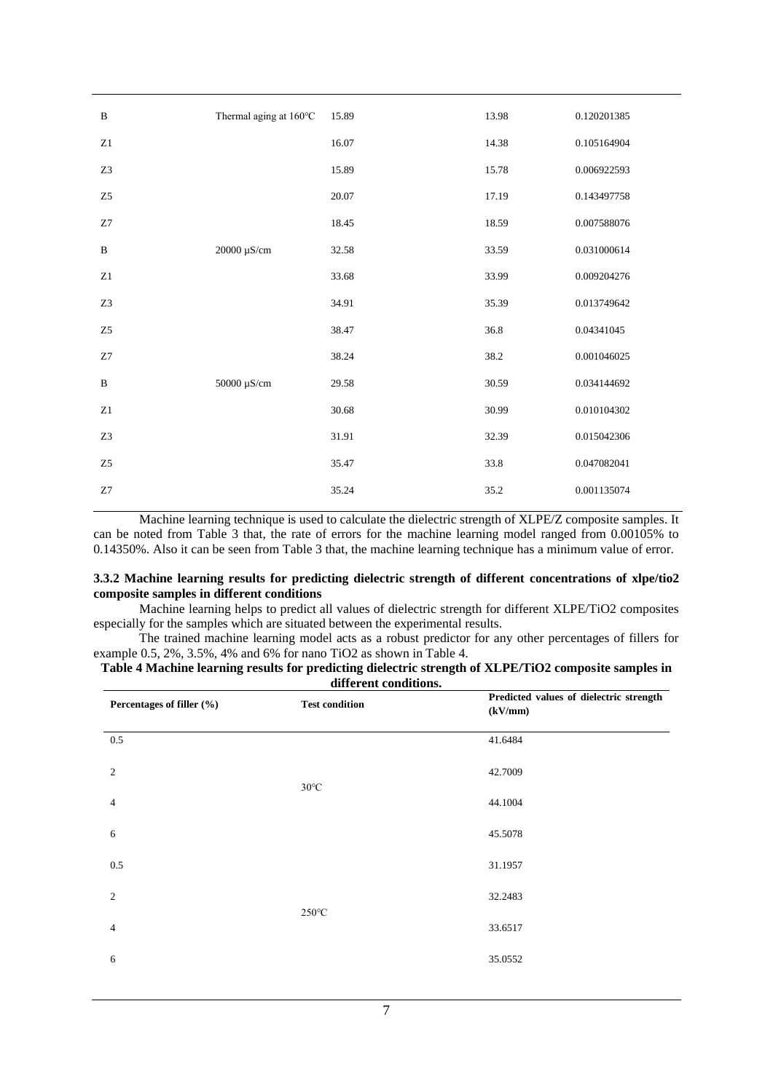| $\bf{B}$       | Thermal aging at 160°C   | 15.89 | 13.98 | 0.120201385 |
|----------------|--------------------------|-------|-------|-------------|
|                |                          |       |       |             |
| Z1             |                          | 16.07 | 14.38 | 0.105164904 |
| Z3             |                          | 15.89 | 15.78 | 0.006922593 |
| Z <sub>5</sub> |                          | 20.07 | 17.19 | 0.143497758 |
| Z7             |                          | 18.45 | 18.59 | 0.007588076 |
| $\, {\bf B}$   | $20000~\mu\text{S/cm}$   | 32.58 | 33.59 | 0.031000614 |
| $\rm Z1$       |                          | 33.68 | 33.99 | 0.009204276 |
| Z3             |                          | 34.91 | 35.39 | 0.013749642 |
| ${\rm Z}5$     |                          | 38.47 | 36.8  | 0.04341045  |
| Z7             |                          | 38.24 | 38.2  | 0.001046025 |
| $\, {\bf B}$   | 50000 $\mu\mathrm{S/cm}$ | 29.58 | 30.59 | 0.034144692 |
| Z1             |                          | 30.68 | 30.99 | 0.010104302 |
| Z3             |                          | 31.91 | 32.39 | 0.015042306 |
| Z <sub>5</sub> |                          | 35.47 | 33.8  | 0.047082041 |
| Z7             |                          | 35.24 | 35.2  | 0.001135074 |

Machine learning technique is used to calculate the dielectric strength of XLPE/Z composite samples. It can be noted from Table 3 that, the rate of errors for the machine learning model ranged from 0.00105% to 0.14350%. Also it can be seen from Table 3 that, the machine learning technique has a minimum value of error.

### **3.3.2 Machine learning results for predicting dielectric strength of different concentrations of xlpe/tio2 composite samples in different conditions**

Machine learning helps to predict all values of dielectric strength for different XLPE/TiO2 composites especially for the samples which are situated between the experimental results.

The trained machine learning model acts as a robust predictor for any other percentages of fillers for example 0.5, 2%, 3.5%, 4% and 6% for nano TiO2 as shown in Table 4.

| Percentages of filler (%) | <b>Test condition</b> | Predicted values of dielectric strength<br>(kV/mm) |
|---------------------------|-----------------------|----------------------------------------------------|
| 0.5                       |                       | 41.6484                                            |
| 2                         | $30^{\circ}$ C        | 42.7009                                            |
| 4                         |                       | 44.1004                                            |
| 6                         |                       | 45.5078                                            |
| 0.5                       |                       | 31.1957                                            |
| $\overline{c}$            |                       | 32.2483                                            |
| 4                         | $250^{\circ}$ C       | 33.6517                                            |
| 6                         |                       | 35.0552                                            |
|                           |                       |                                                    |

| Table 4 Machine learning results for predicting dielectric strength of XLPE/TiO2 composite samples in |
|-------------------------------------------------------------------------------------------------------|
|                                                                                                       |
|                                                                                                       |
| different conditions.                                                                                 |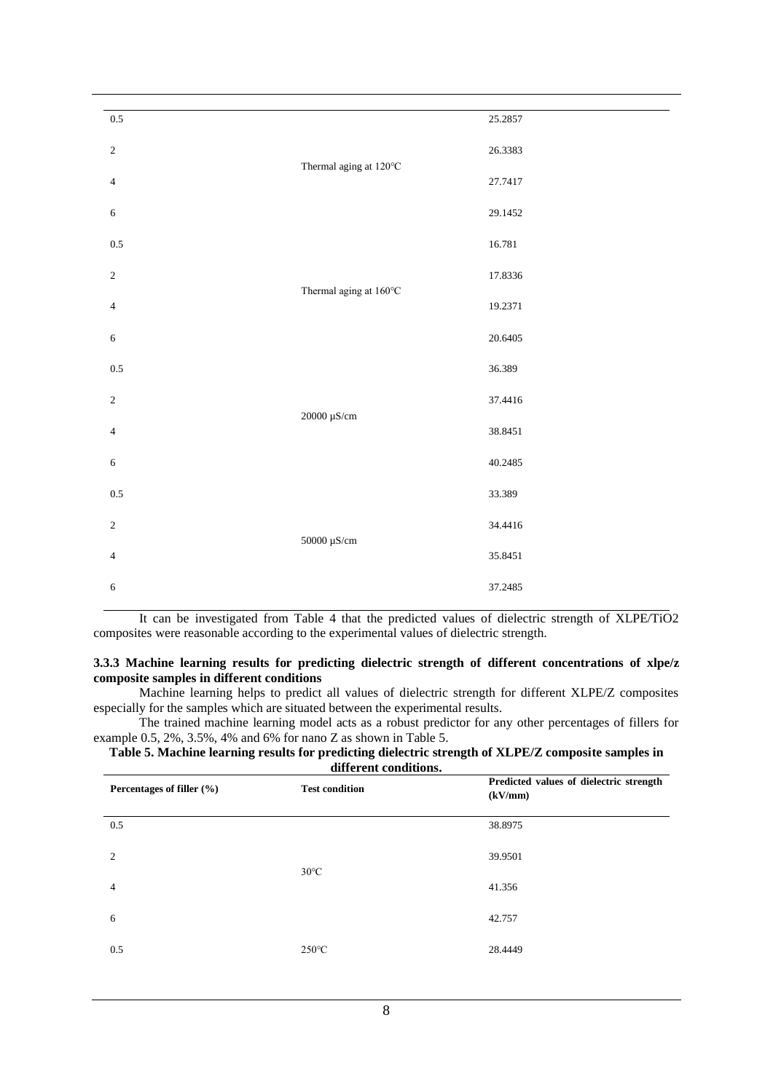| $0.5\,$        |                         | 25.2857 |
|----------------|-------------------------|---------|
| $\sqrt{2}$     |                         | 26.3383 |
| $\overline{4}$ | Thermal aging at 120°C  | 27.7417 |
| $\sqrt{6}$     |                         | 29.1452 |
| $0.5\,$        |                         | 16.781  |
| $\sqrt{2}$     | Thermal aging at 160°C  | 17.8336 |
| $\sqrt{4}$     |                         | 19.2371 |
| $\sqrt{6}$     |                         | 20.6405 |
| $0.5\,$        |                         | 36.389  |
| $\sqrt{2}$     | 20000 μS/cm             | 37.4416 |
| $\sqrt{4}$     |                         | 38.8451 |
| $\sqrt{6}$     |                         | 40.2485 |
| $0.5\,$        |                         | 33.389  |
| $\sqrt{2}$     | $50000\ \mu\text{S/cm}$ | 34.4416 |
| $\overline{4}$ |                         | 35.8451 |
| $\sqrt{6}$     |                         | 37.2485 |
|                |                         |         |

It can be investigated from Table 4 that the predicted values of dielectric strength of XLPE/TiO2 composites were reasonable according to the experimental values of dielectric strength.

## **3.3.3 Machine learning results for predicting dielectric strength of different concentrations of xlpe/z composite samples in different conditions**

Machine learning helps to predict all values of dielectric strength for different XLPE/Z composites especially for the samples which are situated between the experimental results.

The trained machine learning model acts as a robust predictor for any other percentages of fillers for example 0.5, 2%, 3.5%, 4% and 6% for nano Z as shown in Table 5.

# **Table 5. Machine learning results for predicting dielectric strength of XLPE/Z composite samples in different conditions.**

| Percentages of filler $(\% )$ | <b>Test condition</b> | Predicted values of dielectric strength<br>(kV/mm) |
|-------------------------------|-----------------------|----------------------------------------------------|
| 0.5                           |                       | 38.8975                                            |
| $\mathfrak{D}$                |                       | 39.9501                                            |
| $\overline{4}$                | $30^{\circ}$ C        | 41.356                                             |
| 6                             |                       | 42.757                                             |
| 0.5                           | $250^{\circ}$ C       | 28.4449                                            |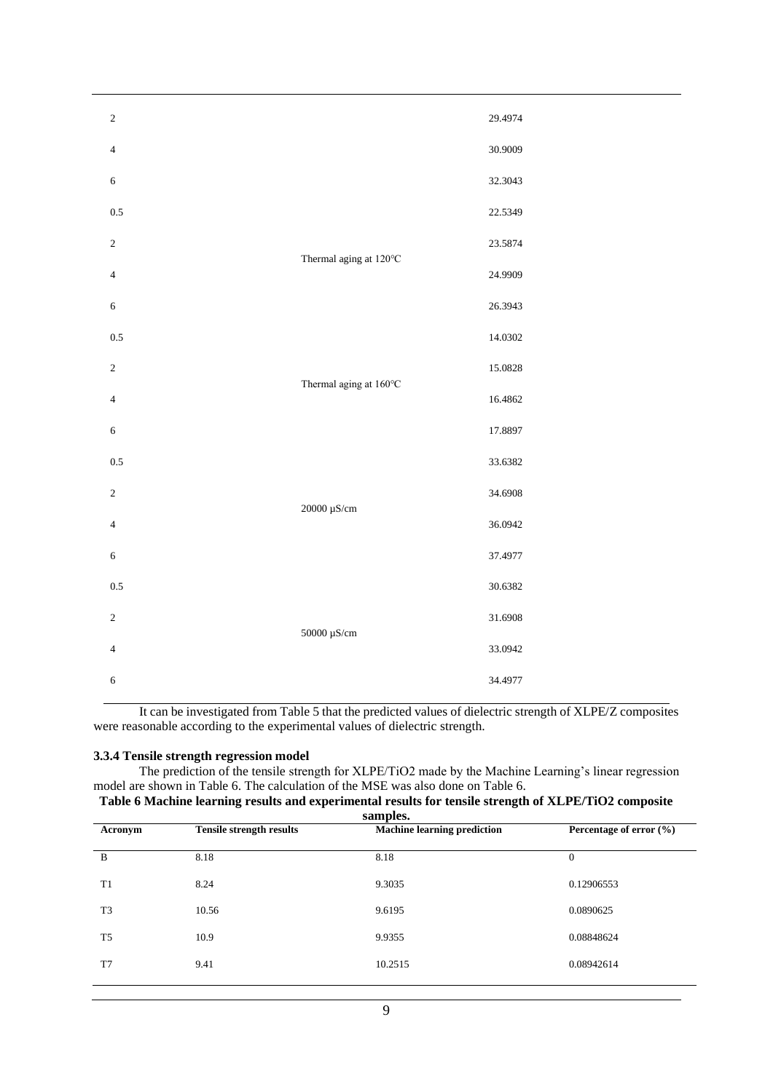| $\sqrt{2}$     |                        | 29.4974 |
|----------------|------------------------|---------|
| $\overline{4}$ |                        | 30.9009 |
| $\sqrt{6}$     |                        | 32.3043 |
| 0.5            |                        | 22.5349 |
| $\sqrt{2}$     |                        | 23.5874 |
| $\overline{4}$ | Thermal aging at 120°C | 24.9909 |
| $\sqrt{6}$     |                        | 26.3943 |
| 0.5            |                        | 14.0302 |
| $\sqrt{2}$     |                        | 15.0828 |
| $\overline{4}$ | Thermal aging at 160°C | 16.4862 |
| $\sqrt{6}$     |                        | 17.8897 |
| 0.5            |                        | 33.6382 |
| $\sqrt{2}$     |                        | 34.6908 |
| $\overline{4}$ | 20000 μS/cm            | 36.0942 |
| 6              |                        | 37.4977 |
| 0.5            |                        | 30.6382 |
| $\overline{2}$ |                        | 31.6908 |
| $\overline{4}$ | 50000 μS/cm            | 33.0942 |
| $\sqrt{6}$     |                        | 34.4977 |

It can be investigated from Table 5 that the predicted values of dielectric strength of XLPE/Z composites were reasonable according to the experimental values of dielectric strength.

# **3.3.4 Tensile strength regression model**

The prediction of the tensile strength for XLPE/TiO2 made by the Machine Learning's linear regression model are shown in Table 6. The calculation of the MSE was also done on Table 6.

# **Table 6 Machine learning results and experimental results for tensile strength of XLPE/TiO2 composite samples.**

| Acronym        | <b>Tensile strength results</b> | зашрісэ.<br><b>Machine learning prediction</b> | Percentage of error $(\% )$ |
|----------------|---------------------------------|------------------------------------------------|-----------------------------|
| B              | 8.18                            | 8.18                                           | $\Omega$                    |
| T1             | 8.24                            | 9.3035                                         | 0.12906553                  |
| T <sub>3</sub> | 10.56                           | 9.6195                                         | 0.0890625                   |
| T <sub>5</sub> | 10.9                            | 9.9355                                         | 0.08848624                  |
| T7             | 9.41                            | 10.2515                                        | 0.08942614                  |
|                |                                 |                                                |                             |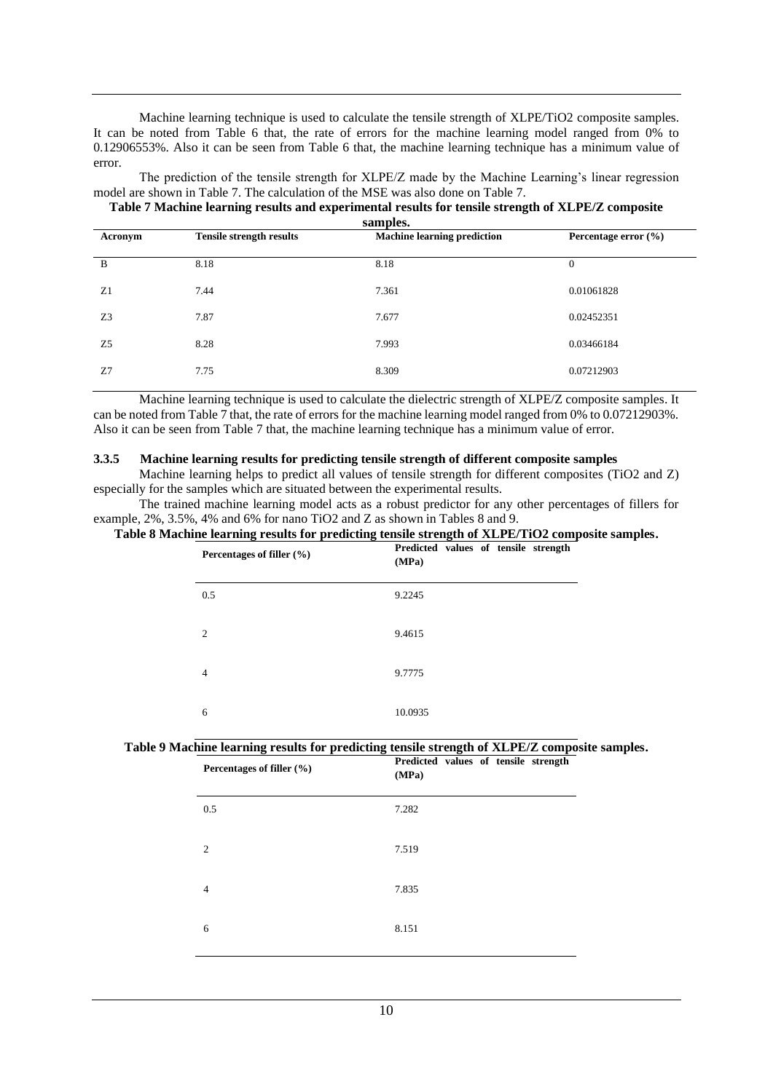Machine learning technique is used to calculate the tensile strength of XLPE/TiO2 composite samples. It can be noted from Table 6 that, the rate of errors for the machine learning model ranged from 0% to 0.12906553%. Also it can be seen from Table 6 that, the machine learning technique has a minimum value of error.

The prediction of the tensile strength for XLPE/Z made by the Machine Learning's linear regression model are shown in Table 7. The calculation of the MSE was also done on Table 7.

#### **Table 7 Machine learning results and experimental results for tensile strength of XLPE/Z composite samples.**

| Acronym        | <b>Tensile strength results</b> | зашрісэ.<br><b>Machine learning prediction</b> | Percentage error $(\% )$ |  |
|----------------|---------------------------------|------------------------------------------------|--------------------------|--|
| B              | 8.18                            | 8.18                                           | $\overline{0}$           |  |
| Z1             | 7.44                            | 7.361                                          | 0.01061828               |  |
| Z <sub>3</sub> | 7.87                            | 7.677                                          | 0.02452351               |  |
| Z <sub>5</sub> | 8.28                            | 7.993                                          | 0.03466184               |  |
| Z7             | 7.75                            | 8.309                                          | 0.07212903               |  |
|                |                                 |                                                |                          |  |

Machine learning technique is used to calculate the dielectric strength of XLPE/Z composite samples. It can be noted from Table 7 that, the rate of errors for the machine learning model ranged from 0% to 0.07212903%. Also it can be seen from Table 7 that, the machine learning technique has a minimum value of error.

### **3.3.5 Machine learning results for predicting tensile strength of different composite samples**

Machine learning helps to predict all values of tensile strength for different composites (TiO2 and Z) especially for the samples which are situated between the experimental results.

The trained machine learning model acts as a robust predictor for any other percentages of fillers for example, 2%, 3.5%, 4% and 6% for nano TiO2 and Z as shown in Tables 8 and 9.

## **Table 8 Machine learning results for predicting tensile strength of XLPE/TiO2 composite samples.**

| Percentages of filler (%) | Predicted values of tensile strength<br>(MPa) |
|---------------------------|-----------------------------------------------|
| 0.5                       | 9.2245                                        |
| 2                         | 9.4615                                        |
| 4                         | 9.7775                                        |
| 6                         | 10.0935                                       |

#### **Table 9 Machine learning results for predicting tensile strength of XLPE/Z composite samples.**

| 0.5<br>7.282<br>7.519<br>2<br>7.835<br>$\overline{4}$<br>8.151<br>6 | Percentages of filler (%) | Predicted values of tensile strength<br>(MPa) |
|---------------------------------------------------------------------|---------------------------|-----------------------------------------------|
|                                                                     |                           |                                               |
|                                                                     |                           |                                               |
|                                                                     |                           |                                               |
|                                                                     |                           |                                               |